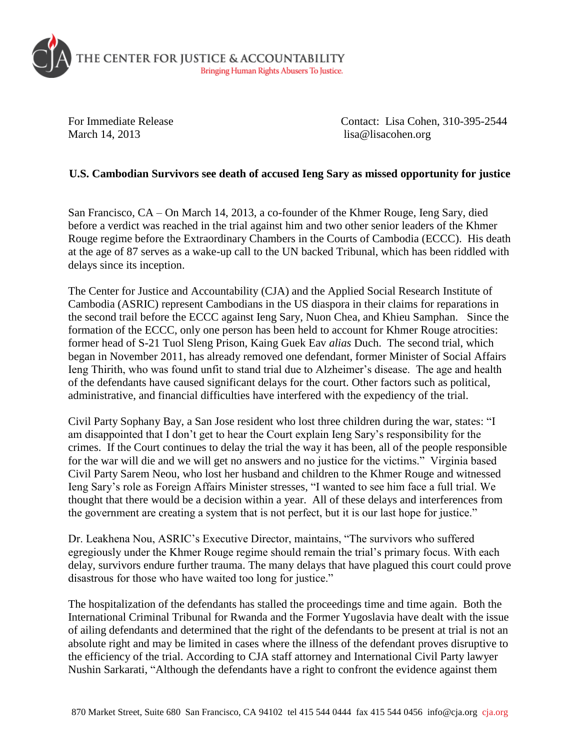

March 14, 2013 lisa@lisacohen.org

For Immediate Release Contact: Lisa Cohen, 310-395-2544

## **U.S. Cambodian Survivors see death of accused Ieng Sary as missed opportunity for justice**

San Francisco, CA – On March 14, 2013, a co-founder of the Khmer Rouge, Ieng Sary, died before a verdict was reached in the trial against him and two other senior leaders of the Khmer Rouge regime before the Extraordinary Chambers in the Courts of Cambodia (ECCC). His death at the age of 87 serves as a wake-up call to the UN backed Tribunal, which has been riddled with delays since its inception.

The Center for Justice and Accountability (CJA) and the Applied Social Research Institute of Cambodia (ASRIC) represent Cambodians in the US diaspora in their claims for reparations in the second trail before the ECCC against Ieng Sary, Nuon Chea, and Khieu Samphan. Since the formation of the ECCC, only one person has been held to account for Khmer Rouge atrocities: former head of S-21 Tuol Sleng Prison, Kaing Guek Eav *alias* Duch. The second trial, which began in November 2011, has already removed one defendant, former Minister of Social Affairs Ieng Thirith, who was found unfit to stand trial due to Alzheimer's disease. The age and health of the defendants have caused significant delays for the court. Other factors such as political, administrative, and financial difficulties have interfered with the expediency of the trial.

Civil Party Sophany Bay, a San Jose resident who lost three children during the war, states: "I am disappointed that I don't get to hear the Court explain Ieng Sary's responsibility for the crimes. If the Court continues to delay the trial the way it has been, all of the people responsible for the war will die and we will get no answers and no justice for the victims." Virginia based Civil Party Sarem Neou, who lost her husband and children to the Khmer Rouge and witnessed Ieng Sary's role as Foreign Affairs Minister stresses, "I wanted to see him face a full trial. We thought that there would be a decision within a year. All of these delays and interferences from the government are creating a system that is not perfect, but it is our last hope for justice."

Dr. Leakhena Nou, ASRIC's Executive Director, maintains, "The survivors who suffered egregiously under the Khmer Rouge regime should remain the trial's primary focus. With each delay, survivors endure further trauma. The many delays that have plagued this court could prove disastrous for those who have waited too long for justice."

The hospitalization of the defendants has stalled the proceedings time and time again. Both the International Criminal Tribunal for Rwanda and the Former Yugoslavia have dealt with the issue of ailing defendants and determined that the right of the defendants to be present at trial is not an absolute right and may be limited in cases where the illness of the defendant proves disruptive to the efficiency of the trial. According to CJA staff attorney and International Civil Party lawyer Nushin Sarkarati, "Although the defendants have a right to confront the evidence against them